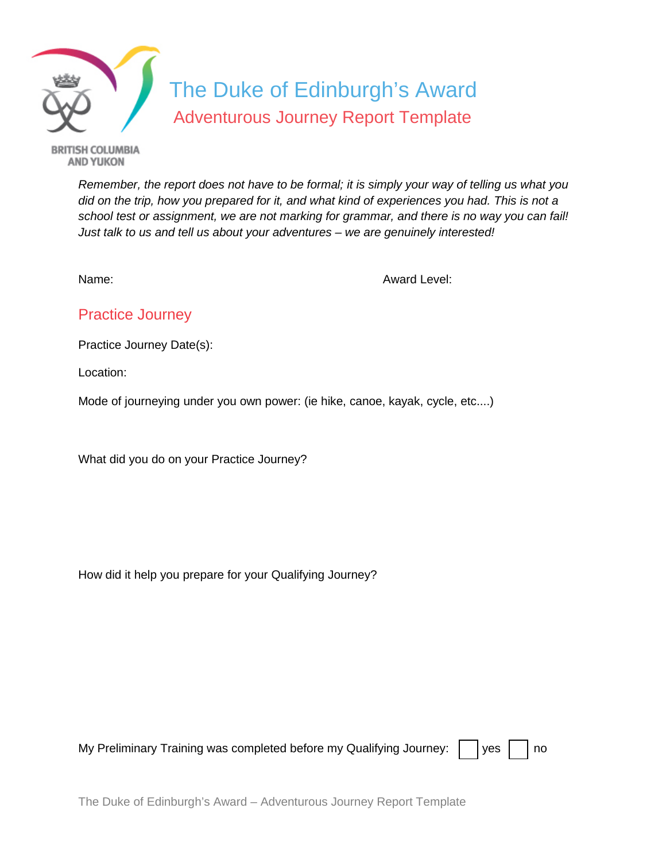

**BRITISH COLUMBIA AND YUKON** 

> *Remember, the report does not have to be formal; it is simply your way of telling us what you did on the trip, how you prepared for it, and what kind of experiences you had. This is not a school test or assignment, we are not marking for grammar, and there is no way you can fail! Just talk to us and tell us about your adventures – we are genuinely interested!*

Name: Name: Award Level: Name: 2008. Award Level: 2008. Award Level: 2008. Award Level: 2008. Award Level: 200

## Practice Journey

Practice Journey Date(s):

Location:

Mode of journeying under you own power: (ie hike, canoe, kayak, cycle, etc....)

What did you do on your Practice Journey?

How did it help you prepare for your Qualifying Journey?

My Preliminary Training was completed before my Qualifying Journey:  $\|\cdot\|$  yes  $\|\cdot\|$  no

|  |  | I |
|--|--|---|
|--|--|---|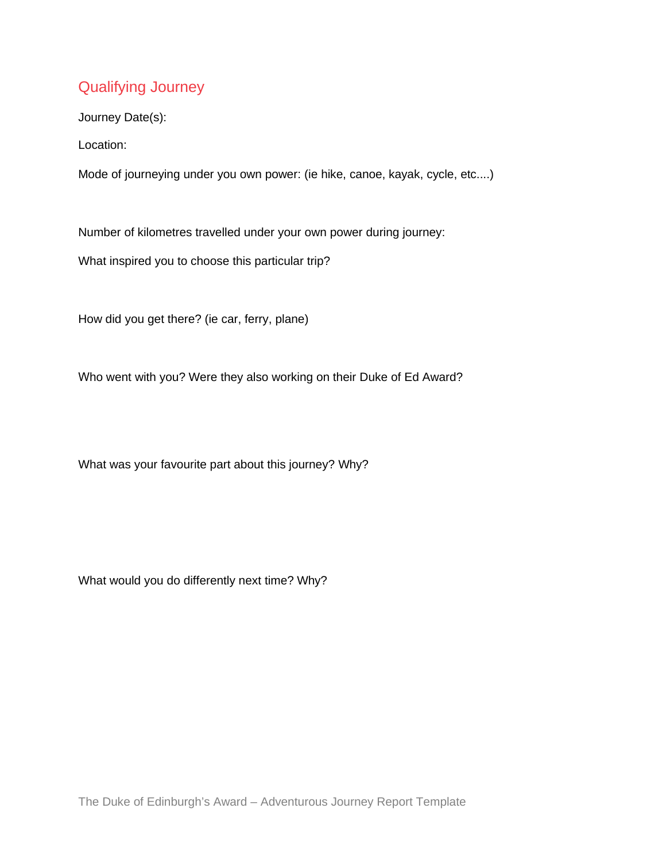## Qualifying Journey

Journey Date(s):

Location:

Mode of journeying under you own power: (ie hike, canoe, kayak, cycle, etc....)

Number of kilometres travelled under your own power during journey:

What inspired you to choose this particular trip?

How did you get there? (ie car, ferry, plane)

Who went with you? Were they also working on their Duke of Ed Award?

What was your favourite part about this journey? Why?

What would you do differently next time? Why?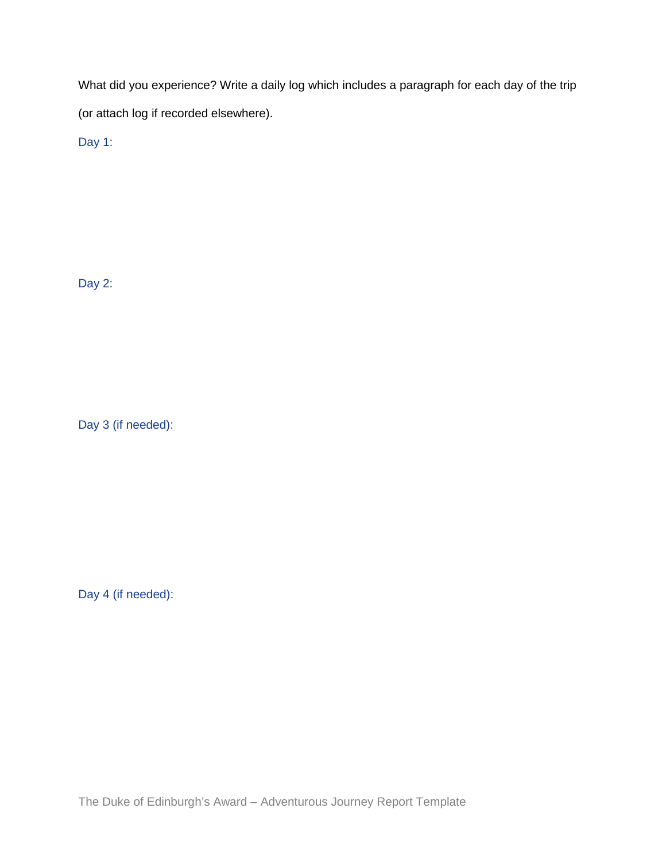What did you experience? Write a daily log which includes a paragraph for each day of the trip (or attach log if recorded elsewhere).

Day 1:

Day 2:

Day 3 (if needed):

Day 4 (if needed):

The Duke of Edinburgh's Award – Adventurous Journey Report Template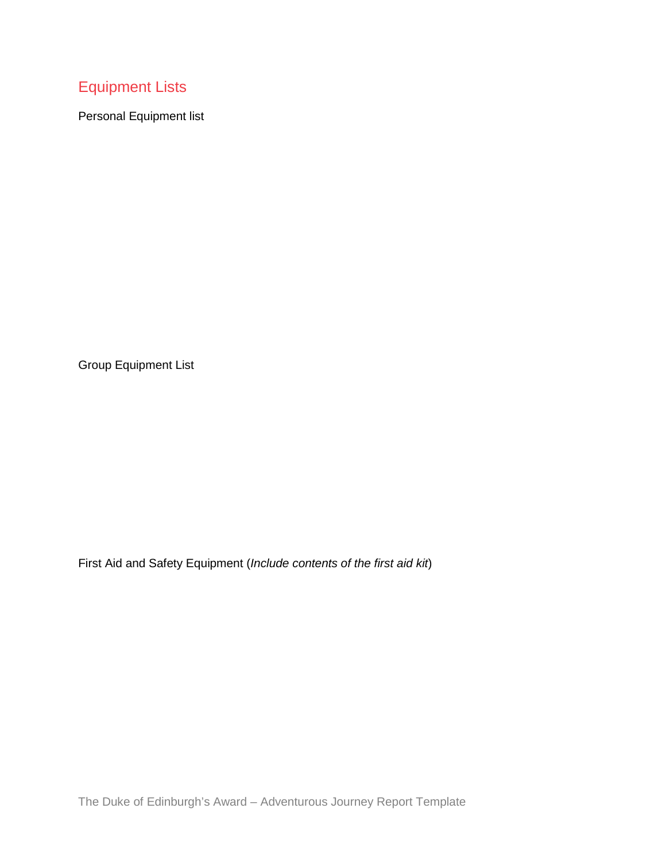## Equipment Lists

Personal Equipment list

Group Equipment List

First Aid and Safety Equipment (*Include contents of the first aid kit*)

The Duke of Edinburgh's Award – Adventurous Journey Report Template